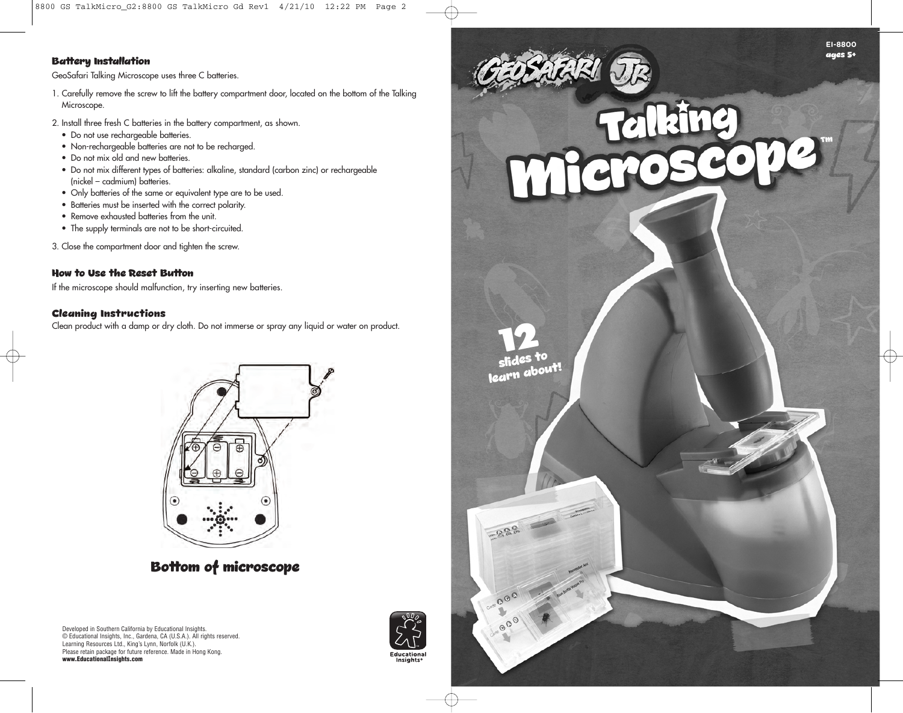#### **Battery Installation**

GeoSafari Talking Microscope uses three C batteries.

- 1. Carefully remove the screw to lift the battery compartment door, located on the bottom of the Talking Microscope.
- 2. Install three fresh C batteries in the battery compartment, as shown.
	- Do not use rechargeable batteries.
	- Non-rechargeable batteries are not to be recharged.
	- Do not mix old and new batteries.
	- Do not mix different types of batteries: alkaline, standard (carbon zinc) or rechargeable (nickel – cadmium) batteries.
	- Only batteries of the same or equivalent type are to be used.
	- Batteries must be inserted with the correct polarity.
	- Remove exhausted batteries from the unit.
	- The supply terminals are not to be short-circuited.

3. Close the compartment door and tighten the screw.

#### **How to Use the Reset Button**

If the microscope should malfunction, try inserting new batteries.

#### **Cleaning Instructions**

Clean product with a damp or dry cloth. Do not immerse or spray any liquid or water on product.



## **Bottom of microscope**